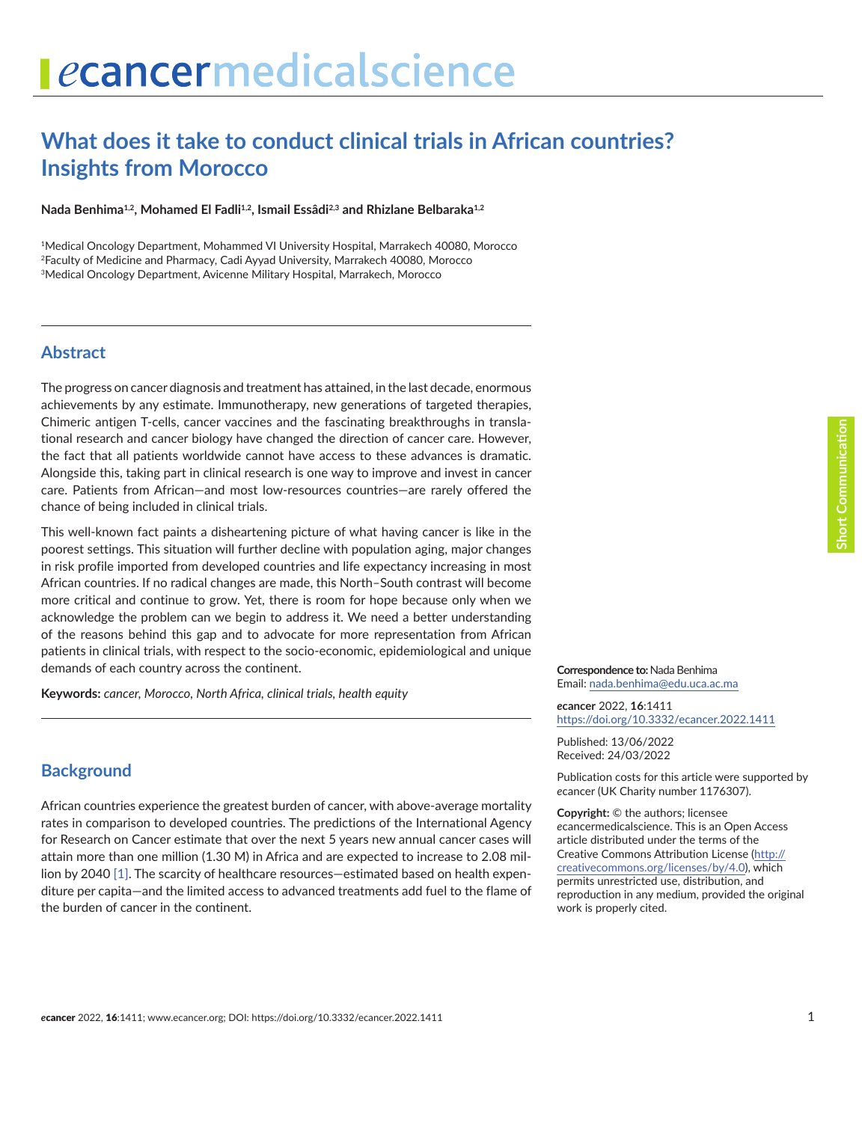# **What does it take to conduct clinical trials in African countries? Insights from Morocco**

Nada Benhima<sup>1,2</sup>, Mohamed El Fadli<sup>1,2</sup>, Ismail Essâdi<sup>2,3</sup> and Rhizlane Belbaraka<sup>1,2</sup>

1Medical Oncology Department, Mohammed VI University Hospital, Marrakech 40080, Morocco 2Faculty of Medicine and Pharmacy, Cadi Ayyad University, Marrakech 40080, Morocco 3Medical Oncology Department, Avicenne Military Hospital, Marrakech, Morocco

### **Abstract**

The progress on cancer diagnosis and treatment has attained, in the last decade, enormous achievements by any estimate. Immunotherapy, new generations of targeted therapies, Chimeric antigen T-cells, cancer vaccines and the fascinating breakthroughs in translational research and cancer biology have changed the direction of cancer care. However, the fact that all patients worldwide cannot have access to these advances is dramatic. Alongside this, taking part in clinical research is one way to improve and invest in cancer care. Patients from African—and most low-resources countries—are rarely offered the chance of being included in clinical trials.

This well-known fact paints a disheartening picture of what having cancer is like in the poorest settings. This situation will further decline with population aging, major changes in risk profile imported from developed countries and life expectancy increasing in most African countries. If no radical changes are made, this North–South contrast will become more critical and continue to grow. Yet, there is room for hope because only when we acknowledge the problem can we begin to address it. We need a better understanding of the reasons behind this gap and to advocate for more representation from African patients in clinical trials, with respect to the socio-economic, epidemiological and unique demands of each country across the continent.

**Keywords:** *cancer, Morocco, North Africa, clinical trials, health equity*

### **Background**

African countries experience the greatest burden of cancer, with above-average mortality rates in comparison to developed countries. The predictions of the International Agency for Research on Cancer estimate that over the next 5 years new annual cancer cases will attain more than one million (1.30 M) in Africa and are expected to increase to 2.08 million by 2040 [\[1\].](#page-5-0) The scarcity of healthcare resources—estimated based on health expenditure per capita—and the limited access to advanced treatments add fuel to the flame of the burden of cancer in the continent.

**Correspondence to:**Nada Benhima Email: [nada.benhima@edu.uca.ac.ma](mailto:nada.benhima@edu.uca.ac.ma)

*e***cancer** 2022, **16**:1411 [https://doi.org/10.3332/ecancer.2022.141](https://doi.org/10.3332/ecancer.2022.1411)1

Published: 13/06/2022 Received: 24/03/2022

Publication costs for this article were supported by *e*cancer (UK Charity number 1176307).

**Copyright:** © the authors; licensee *e*cancermedicalscience. This is an Open Access article distributed under the terms of the Creative Commons Attribution License (http:// creativecommons.org/licenses/by/4.0), which permits unrestricted use, distribution, and reproduction in any medium, provided the original work is properly cited.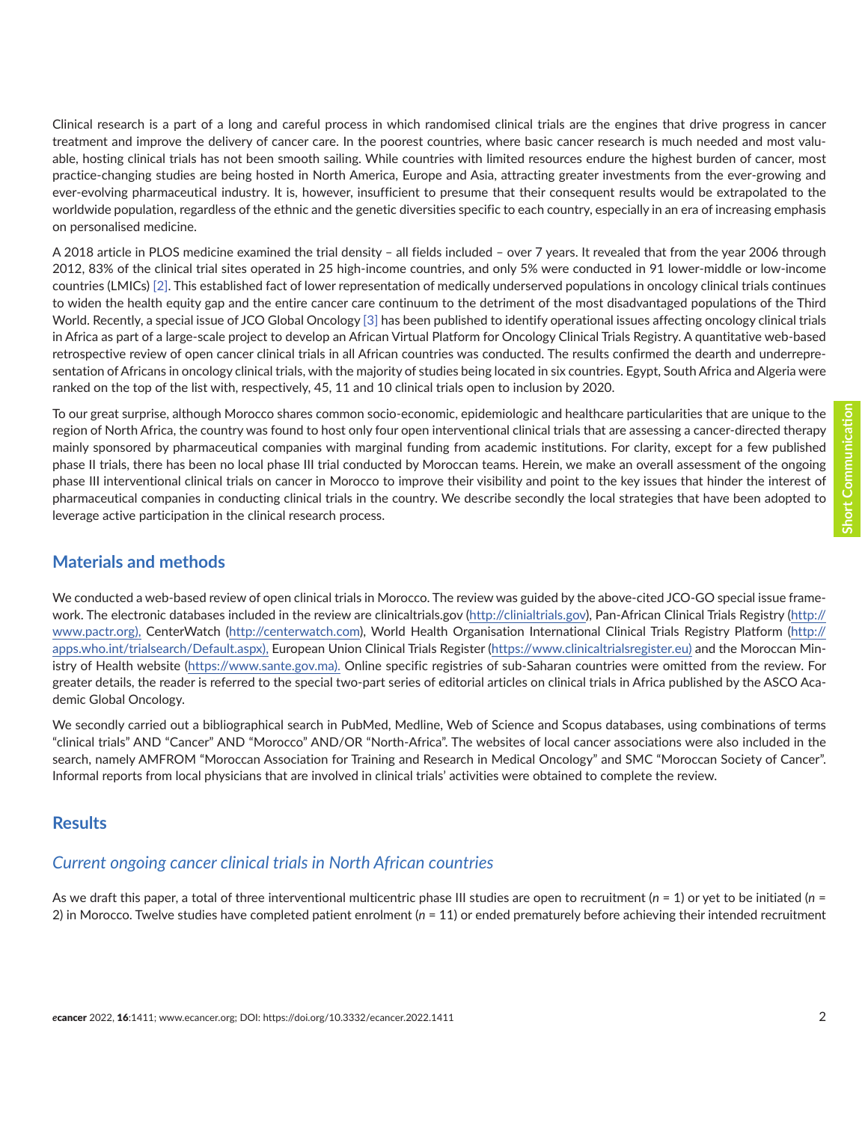Clinical research is a part of a long and careful process in which randomised clinical trials are the engines that drive progress in cancer treatment and improve the delivery of cancer care. In the poorest countries, where basic cancer research is much needed and most valuable, hosting clinical trials has not been smooth sailing. While countries with limited resources endure the highest burden of cancer, most practice-changing studies are being hosted in North America, Europe and Asia, attracting greater investments from the ever-growing and ever-evolving pharmaceutical industry. It is, however, insufficient to presume that their consequent results would be extrapolated to the worldwide population, regardless of the ethnic and the genetic diversities specific to each country, especially in an era of increasing emphasis on personalised medicine.

A 2018 article in PLOS medicine examined the trial density – all fields included – over 7 years. It revealed that from the year 2006 through 2012, 83% of the clinical trial sites operated in 25 high-income countries, and only 5% were conducted in 91 lower-middle or low-income countries (LMICs) [\[2\].](#page-5-0) This established fact of lower representation of medically underserved populations in oncology clinical trials continues to widen the health equity gap and the entire cancer care continuum to the detriment of the most disadvantaged populations of the Third World. Recently, a special issue of JCO Global Oncology [\[3\]](#page-5-0) has been published to identify operational issues affecting oncology clinical trials in Africa as part of a large-scale project to develop an African Virtual Platform for Oncology Clinical Trials Registry. A quantitative web-based retrospective review of open cancer clinical trials in all African countries was conducted. The results confirmed the dearth and underrepresentation of Africans in oncology clinical trials, with the majority of studies being located in six countries. Egypt, South Africa and Algeria were ranked on the top of the list with, respectively, 45, 11 and 10 clinical trials open to inclusion by 2020.

To our great surprise, although Morocco shares common socio-economic, epidemiologic and healthcare particularities that are unique to the region of North Africa, the country was found to host only four open interventional clinical trials that are assessing a cancer-directed therapy mainly sponsored by pharmaceutical companies with marginal funding from academic institutions. For clarity, except for a few published phase II trials, there has been no local phase III trial conducted by Moroccan teams. Herein, we make an overall assessment of the ongoing phase III interventional clinical trials on cancer in Morocco to improve their visibility and point to the key issues that hinder the interest of pharmaceutical companies in conducting clinical trials in the country. We describe secondly the local strategies that have been adopted to leverage active participation in the clinical research process.

# **Materials and methods**

We conducted a web-based review of open clinical trials in Morocco. The review was guided by the above-cited JCO-GO special issue framework. The electronic databases included in the review are clinicaltrials.gov [\(http://clinialtrials.gov](http://clinialtrials.gov)), Pan-African Clinical Trials Registry (http:// [www.pactr.org](http://www.pactr.org)), CenterWatch ([http://centerwatch.com\)](http://centerwatch.com), World Health Organisation International Clinical Trials Registry Platform (http:// apps.who.int/trialsearch/Default.aspx), European Union Clinical Trials Register ([https://www.clinicaltrialsregister.eu\)](https://www.clinicaltrialsregister.eu)a) and the Moroccan Ministry of Health website ([https://www.sante.gov.ma\)](https://www.sante.gov.ma). Online specific registries of sub-Saharan countries were omitted from the review. For greater details, the reader is referred to the special two-part series of editorial articles on clinical trials in Africa published by the ASCO Academic Global Oncology.

We secondly carried out a bibliographical search in PubMed, Medline, Web of Science and Scopus databases, using combinations of terms "clinical trials" AND "Cancer" AND "Morocco" AND/OR "North-Africa". The websites of local cancer associations were also included in the search, namely AMFROM "Moroccan Association for Training and Research in Medical Oncology" and SMC "Moroccan Society of Cancer". Informal reports from local physicians that are involved in clinical trials' activities were obtained to complete the review.

### **Results**

# *Current ongoing cancer clinical trials in North African countries*

As we draft this paper, a total of three interventional multicentric phase III studies are open to recruitment (*n* = 1) or yet to be initiated (*n* = 2) in Morocco. Twelve studies have completed patient enrolment (*n* = 11) or ended prematurely before achieving their intended recruitment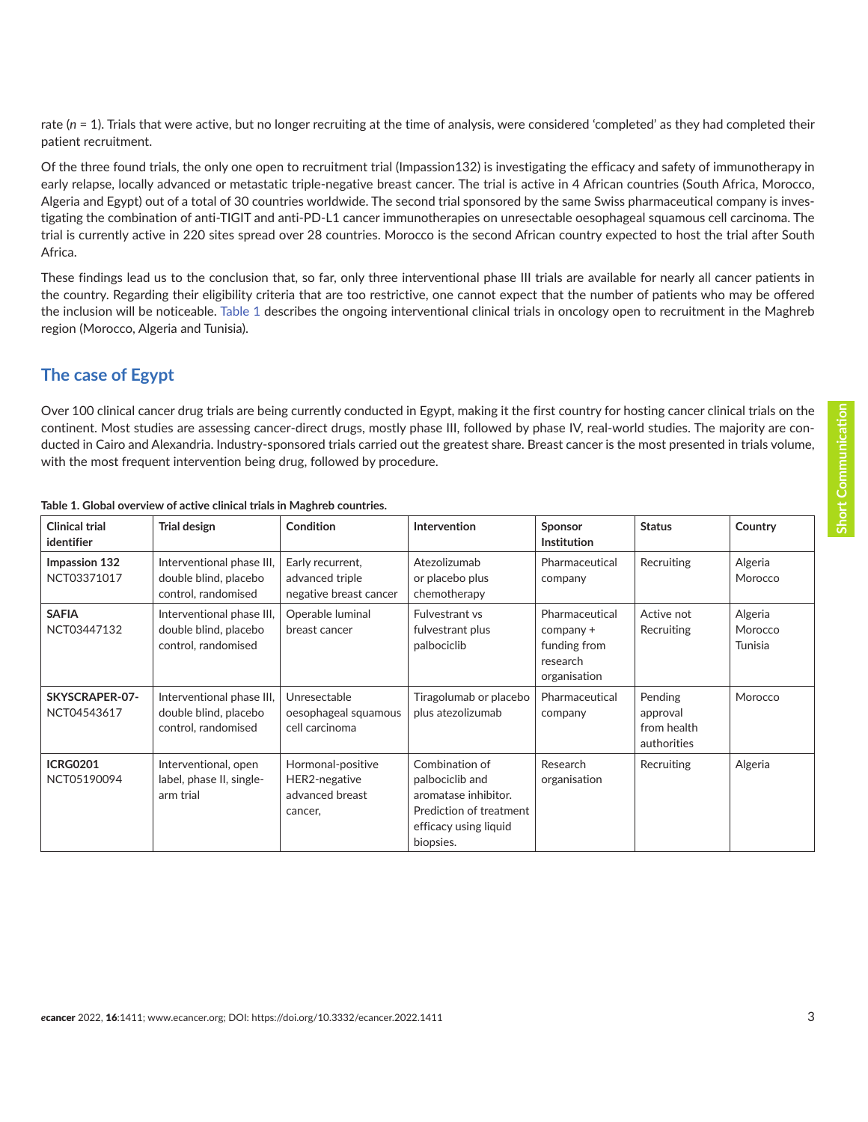rate ( $n = 1$ ). Trials that were active, but no longer recruiting at the time of analysis, were considered 'completed' as they had completed their patient recruitment.

Of the three found trials, the only one open to recruitment trial (Impassion132) is investigating the efficacy and safety of immunotherapy in early relapse, locally advanced or metastatic triple-negative breast cancer. The trial is active in 4 African countries (South Africa, Morocco, Algeria and Egypt) out of a total of 30 countries worldwide. The second trial sponsored by the same Swiss pharmaceutical company is investigating the combination of anti-TIGIT and anti-PD-L1 cancer immunotherapies on unresectable oesophageal squamous cell carcinoma. The trial is currently active in 220 sites spread over 28 countries. Morocco is the second African country expected to host the trial after South Africa.

These findings lead us to the conclusion that, so far, only three interventional phase III trials are available for nearly all cancer patients in the country. Regarding their eligibility criteria that are too restrictive, one cannot expect that the number of patients who may be offered the inclusion will be noticeable. Table 1 describes the ongoing interventional clinical trials in oncology open to recruitment in the Maghreb region (Morocco, Algeria and Tunisia).

# **The case of Egypt**

Over 100 clinical cancer drug trials are being currently conducted in Egypt, making it the first country for hosting cancer clinical trials on the continent. Most studies are assessing cancer-direct drugs, mostly phase III, followed by phase IV, real-world studies. The majority are conducted in Cairo and Alexandria. Industry-sponsored trials carried out the greatest share. Breast cancer is the most presented in trials volume, with the most frequent intervention being drug, followed by procedure.

| <b>Clinical trial</b><br>identifier  | <b>Trial design</b>                                                       | Condition                                                        | Intervention                                                                                                               | Sponsor<br><b>Institution</b>                                           | <b>Status</b>                                     | Country                       |
|--------------------------------------|---------------------------------------------------------------------------|------------------------------------------------------------------|----------------------------------------------------------------------------------------------------------------------------|-------------------------------------------------------------------------|---------------------------------------------------|-------------------------------|
| Impassion 132<br>NCT03371017         | Interventional phase III,<br>double blind, placebo<br>control, randomised | Early recurrent,<br>advanced triple<br>negative breast cancer    | Atezolizumab<br>or placebo plus<br>chemotherapy                                                                            | Pharmaceutical<br>company                                               | Recruiting                                        | Algeria<br>Morocco            |
| <b>SAFIA</b><br>NCT03447132          | Interventional phase III,<br>double blind, placebo<br>control, randomised | Operable luminal<br>breast cancer                                | <b>Fulvestrant vs</b><br>fulvestrant plus<br>palbociclib                                                                   | Pharmaceutical<br>company +<br>funding from<br>research<br>organisation | Active not<br>Recruiting                          | Algeria<br>Morocco<br>Tunisia |
| <b>SKYSCRAPER-07-</b><br>NCT04543617 | Interventional phase III,<br>double blind, placebo<br>control, randomised | Unresectable<br>oesophageal squamous<br>cell carcinoma           | Tiragolumab or placebo<br>plus atezolizumab                                                                                | Pharmaceutical<br>company                                               | Pending<br>approval<br>from health<br>authorities | Morocco                       |
| <b>ICRG0201</b><br>NCT05190094       | Interventional, open<br>label, phase II, single-<br>arm trial             | Hormonal-positive<br>HER2-negative<br>advanced breast<br>cancer, | Combination of<br>palbociclib and<br>aromatase inhibitor.<br>Prediction of treatment<br>efficacy using liquid<br>biopsies. | Research<br>organisation                                                | Recruiting                                        | Algeria                       |

#### **Table 1. Global overview of active clinical trials in Maghreb countries.**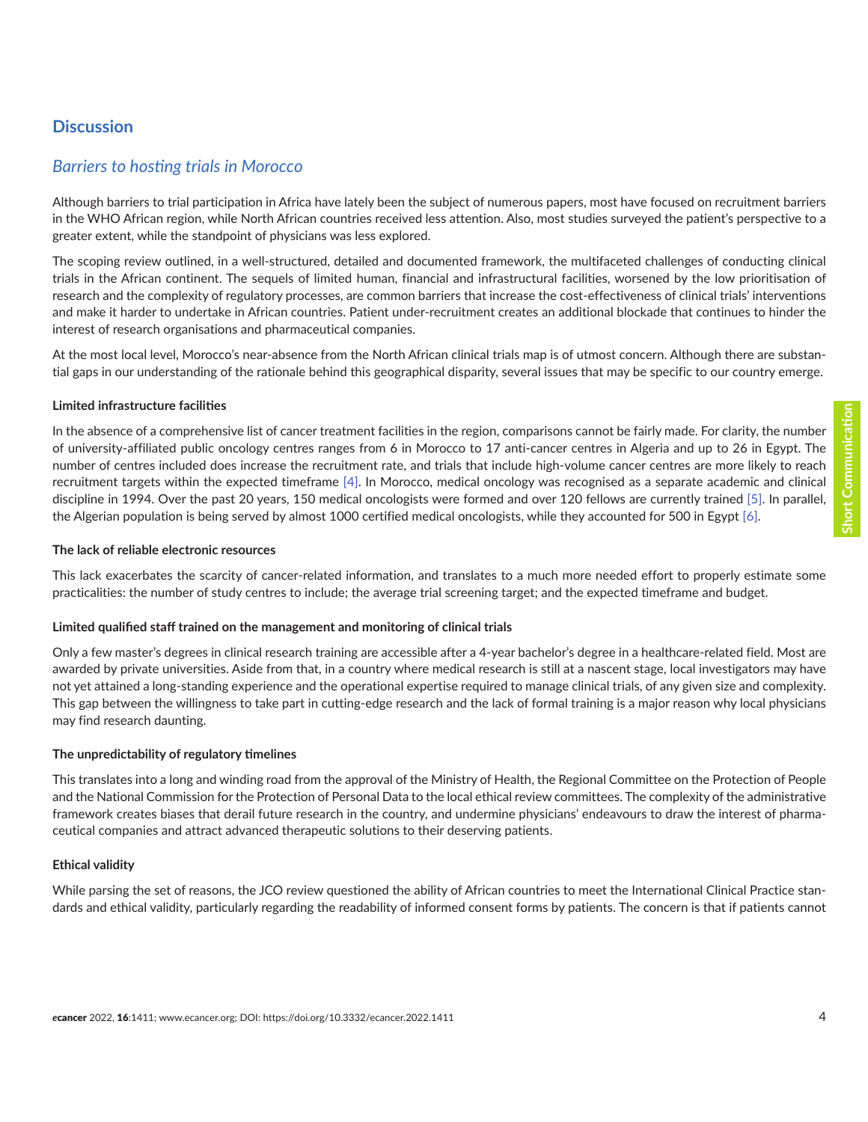# **Discussion**

### *Barriers to hosting trials in Morocco*

Although barriers to trial participation in Africa have lately been the subject of numerous papers, most have focused on recruitment barriers in the WHO African region, while North African countries received less attention. Also, most studies surveyed the patient's perspective to a greater extent, while the standpoint of physicians was less explored.

The scoping review outlined, in a well-structured, detailed and documented framework, the multifaceted challenges of conducting clinical trials in the African continent. The sequels of limited human, financial and infrastructural facilities, worsened by the low prioritisation of research and the complexity of regulatory processes, are common barriers that increase the cost-effectiveness of clinical trials' interventions and make it harder to undertake in African countries. Patient under-recruitment creates an additional blockade that continues to hinder the interest of research organisations and pharmaceutical companies.

At the most local level, Morocco's near-absence from the North African clinical trials map is of utmost concern. Although there are substantial gaps in our understanding of the rationale behind this geographical disparity, several issues that may be specific to our country emerge.

#### **Limited infrastructure facilities**

In the absence of a comprehensive list of cancer treatment facilities in the region, comparisons cannot be fairly made. For clarity, the number of university-affiliated public oncology centres ranges from 6 in Morocco to 17 anti-cancer centres in Algeria and up to 26 in Egypt. The number of centres included does increase the recruitment rate, and trials that include high-volume cancer centres are more likely to reach recruitment targets within the expected timeframe [\[4\].](#page-5-0) In Morocco, medical oncology was recognised as a separate academic and clinical discipline in 1994. Over the past 20 years, 150 medical oncologists were formed and over 120 fellows are currently trained [\[5\].](#page-5-0) In parallel, the Algerian population is being served by almost 1000 certified medical oncologists, while they accounted for 500 in Egypt [\[6\].](#page-5-0)

#### **The lack of reliable electronic resources**

This lack exacerbates the scarcity of cancer-related information, and translates to a much more needed effort to properly estimate some practicalities: the number of study centres to include; the average trial screening target; and the expected timeframe and budget.

#### **Limited qualified staff trained on the management and monitoring of clinical trials**

Only a few master's degrees in clinical research training are accessible after a 4-year bachelor's degree in a healthcare-related field. Most are awarded by private universities. Aside from that, in a country where medical research is still at a nascent stage, local investigators may have not yet attained a long-standing experience and the operational expertise required to manage clinical trials, of any given size and complexity. This gap between the willingness to take part in cutting-edge research and the lack of formal training is a major reason why local physicians may find research daunting.

#### **The unpredictability of regulatory timelines**

This translates into a long and winding road from the approval of the Ministry of Health, the Regional Committee on the Protection of People and the National Commission for the Protection of Personal Data to the local ethical review committees. The complexity of the administrative framework creates biases that derail future research in the country, and undermine physicians' endeavours to draw the interest of pharmaceutical companies and attract advanced therapeutic solutions to their deserving patients.

#### **Ethical validity**

While parsing the set of reasons, the JCO review questioned the ability of African countries to meet the International Clinical Practice standards and ethical validity, particularly regarding the readability of informed consent forms by patients. The concern is that if patients cannot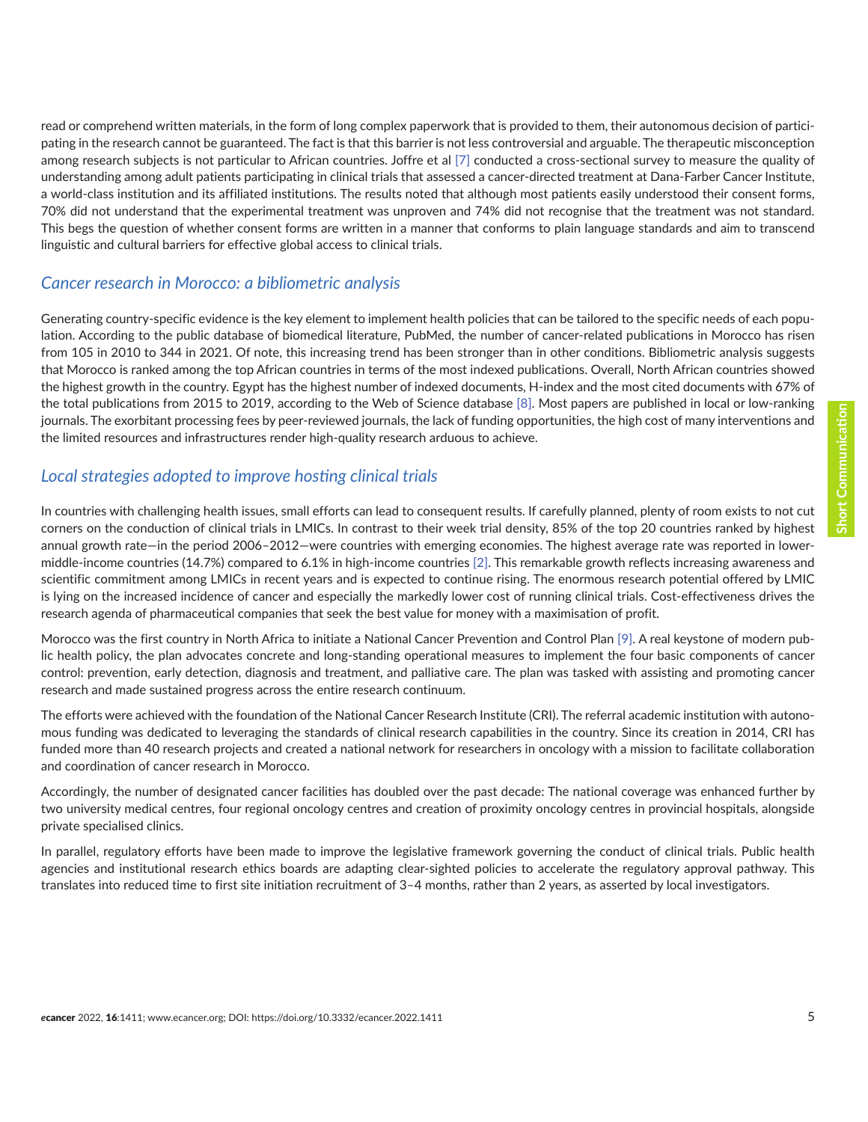read or comprehend written materials, in the form of long complex paperwork that is provided to them, their autonomous decision of participating in the research cannot be guaranteed. The fact is that this barrier is not less controversial and arguable. The therapeutic misconception among research subjects is not particular to African countries. Joffre et al [\[7\]](#page-5-0) conducted a cross-sectional survey to measure the quality of understanding among adult patients participating in clinical trials that assessed a cancer-directed treatment at Dana-Farber Cancer Institute, a world-class institution and its affiliated institutions. The results noted that although most patients easily understood their consent forms, 70% did not understand that the experimental treatment was unproven and 74% did not recognise that the treatment was not standard. This begs the question of whether consent forms are written in a manner that conforms to plain language standards and aim to transcend linguistic and cultural barriers for effective global access to clinical trials.

### *Cancer research in Morocco: a bibliometric analysis*

Generating country-specific evidence is the key element to implement health policies that can be tailored to the specific needs of each population. According to the public database of biomedical literature, PubMed, the number of cancer-related publications in Morocco has risen from 105 in 2010 to 344 in 2021. Of note, this increasing trend has been stronger than in other conditions. Bibliometric analysis suggests that Morocco is ranked among the top African countries in terms of the most indexed publications. Overall, North African countries showed the highest growth in the country. Egypt has the highest number of indexed documents, H-index and the most cited documents with 67% of the total publications from 2015 to 2019, according to the Web of Science database [\[8\]](#page-5-0). Most papers are published in local or low-ranking journals. The exorbitant processing fees by peer-reviewed journals, the lack of funding opportunities, the high cost of many interventions and the limited resources and infrastructures render high-quality research arduous to achieve.

### *Local strategies adopted to improve hosting clinical trials*

In countries with challenging health issues, small efforts can lead to consequent results. If carefully planned, plenty of room exists to not cut corners on the conduction of clinical trials in LMICs. In contrast to their week trial density, 85% of the top 20 countries ranked by highest annual growth rate—in the period 2006–2012—were countries with emerging economies. The highest average rate was reported in lowermiddle-income countries (14.7%) compared to 6.1% in high-income countries [\[2\]](#page-5-0). This remarkable growth reflects increasing awareness and scientific commitment among LMICs in recent years and is expected to continue rising. The enormous research potential offered by LMIC is lying on the increased incidence of cancer and especially the markedly lower cost of running clinical trials. Cost-effectiveness drives the research agenda of pharmaceutical companies that seek the best value for money with a maximisation of profit.

Morocco was the first country in North Africa to initiate a National Cancer Prevention and Control Plan [\[9\]](#page-5-0). A real keystone of modern public health policy, the plan advocates concrete and long-standing operational measures to implement the four basic components of cancer control: prevention, early detection, diagnosis and treatment, and palliative care. The plan was tasked with assisting and promoting cancer research and made sustained progress across the entire research continuum.

The efforts were achieved with the foundation of the National Cancer Research Institute (CRI). The referral academic institution with autonomous funding was dedicated to leveraging the standards of clinical research capabilities in the country. Since its creation in 2014, CRI has funded more than 40 research projects and created a national network for researchers in oncology with a mission to facilitate collaboration and coordination of cancer research in Morocco.

Accordingly, the number of designated cancer facilities has doubled over the past decade: The national coverage was enhanced further by two university medical centres, four regional oncology centres and creation of proximity oncology centres in provincial hospitals, alongside private specialised clinics.

In parallel, regulatory efforts have been made to improve the legislative framework governing the conduct of clinical trials. Public health agencies and institutional research ethics boards are adapting clear-sighted policies to accelerate the regulatory approval pathway. This translates into reduced time to first site initiation recruitment of 3–4 months, rather than 2 years, as asserted by local investigators.